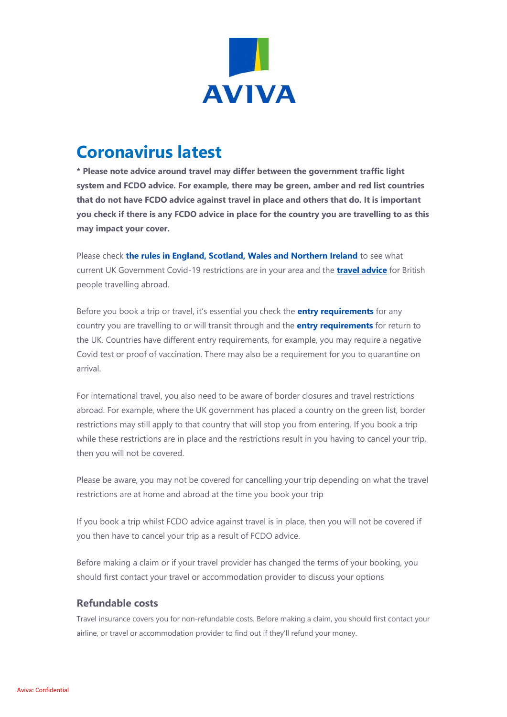

# **Coronavirus latest**

**\* Please note advice around travel may differ between the government traffic light system and FCDO advice. For example, there may be green, amber and red list countries that do not have FCDO advice against travel in place and others that do. It is important you check if there is any FCDO advice in place for the country you are travelling to as this may impact your cover.**

Please check **[the rules in England, Scotland, Wales and Northern Ireland](https://www.gov.uk/coronavirus)** to see what current UK Government Covid-19 restrictions are in your area and the **[travel advice](https://www.gov.uk/guidance/travel-advice-novel-coronavirus)** for British people travelling abroad.

Before you book a trip or travel, it's essential you check the **[entry requirements](https://www.gov.uk/foreign-travel-advice)** for any country you are travelling to or will transit through and the **[entry requirements](https://www.gov.uk/uk-border-control)** for return to the UK. Countries have different entry requirements, for example, you may require a negative Covid test or proof of vaccination. There may also be a requirement for you to quarantine on arrival.

For international travel, you also need to be aware of border closures and travel restrictions abroad. For example, where the UK government has placed a country on the green list, border restrictions may still apply to that country that will stop you from entering. If you book a trip while these restrictions are in place and the restrictions result in you having to cancel your trip, then you will not be covered.

Please be aware, you may not be covered for cancelling your trip depending on what the travel restrictions are at home and abroad at the time you book your trip

If you book a trip whilst FCDO advice against travel is in place, then you will not be covered if you then have to cancel your trip as a result of FCDO advice.

Before making a claim or if your travel provider has changed the terms of your booking, you should first contact your travel or accommodation provider to discuss your options

## **Refundable costs**

Travel insurance covers you for non-refundable costs. Before making a claim, you should first contact your airline, or travel or accommodation provider to find out if they'll refund your money.